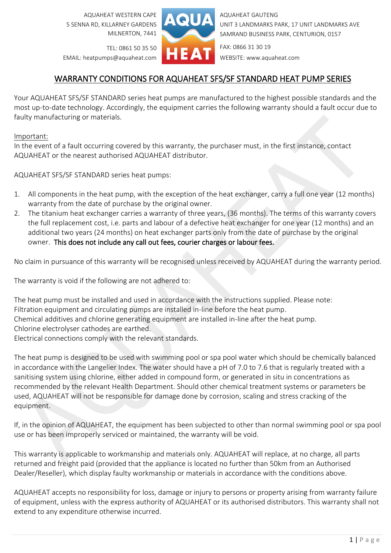AQUAHEAT WESTERN CAPE 5 SENNA RD, KILLARNEY GARDENS MILNERTON, 7441



AQUAHEAT GAUTENG UNIT 3 LANDMARKS PARK, 17 UNIT LANDMARKS AVE SAMRAND BUSINESS PARK, CENTURION, 0157

TEL: 0861 50 35 50 EMAIL: heatpumps@aquaheat.com FAX: 0866 31 30 19 WEBSITE: www.aquaheat.com

## WARRANTY CONDITIONS FOR AQUAHEAT SFS/SF STANDARD HEAT PUMP SERIES

Your AQUAHEAT SFS/SF STANDARD series heat pumps are manufactured to the highest possible standards and the most up-to-date technology. Accordingly, the equipment carries the following warranty should a fault occur due to faulty manufacturing or materials.

## Important:

In the event of a fault occurring covered by this warranty, the purchaser must, in the first instance, contact AQUAHEAT or the nearest authorised AQUAHEAT distributor.

AQUAHEAT SFS/SF STANDARD series heat pumps:

- 1. All components in the heat pump, with the exception of the heat exchanger, carry a full one year (12 months) warranty from the date of purchase by the original owner.
- 2. The titanium heat exchanger carries a warranty of three years, (36 months). The terms of this warranty covers the full replacement cost, i.e. parts and labour of a defective heat exchanger for one year (12 months) and an additional two years (24 months) on heat exchanger parts only from the date of purchase by the original owner. This does not include any call out fees, courier charges or labour fees.

No claim in pursuance of this warranty will be recognised unless received by AQUAHEAT during the warranty period.

The warranty is void if the following are not adhered to:

The heat pump must be installed and used in accordance with the instructions supplied. Please note: Filtration equipment and circulating pumps are installed in-line before the heat pump. Chemical additives and chlorine generating equipment are installed in-line after the heat pump. Chlorine electrolyser cathodes are earthed. Electrical connections comply with the relevant standards.

The heat pump is designed to be used with swimming pool or spa pool water which should be chemically balanced in accordance with the Langelier Index. The water should have a pH of 7.0 to 7.6 that is regularly treated with a sanitising system using chlorine, either added in compound form, or generated in situ in concentrations as recommended by the relevant Health Department. Should other chemical treatment systems or parameters be used, AQUAHEAT will not be responsible for damage done by corrosion, scaling and stress cracking of the equipment.

If, in the opinion of AQUAHEAT, the equipment has been subjected to other than normal swimming pool or spa pool use or has been improperly serviced or maintained, the warranty will be void.

This warranty is applicable to workmanship and materials only. AQUAHEAT will replace, at no charge, all parts returned and freight paid (provided that the appliance is located no further than 50km from an Authorised Dealer/Reseller), which display faulty workmanship or materials in accordance with the conditions above.

AQUAHEAT accepts no responsibility for loss, damage or injury to persons or property arising from warranty failure of equipment, unless with the express authority of AQUAHEAT or its authorised distributors. This warranty shall not extend to any expenditure otherwise incurred.